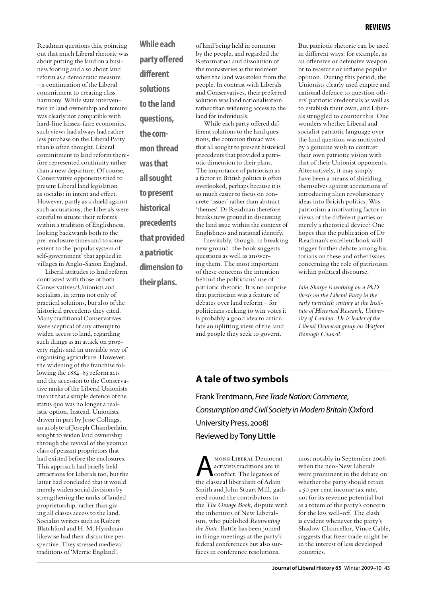Readman questions this, pointing out that much Liberal rhetoric was about putting the land on a business footing and also about land reform as a democratic measure – a continuation of the Liberal commitment to creating class harmony. While state intervention in land ownership and tenure was clearly not compatible with hard-line laissez-faire economics, such views had always had rather less purchase on the Liberal Party than is often thought. Liberal commitment to land reform therefore represented continuity rather than a new departure. Of course, Conservative opponents tried to present Liberal land legislation as socialist in intent and effect. However, partly as a shield against such accusations, the Liberals were careful to situate their reforms within a tradition of Englishness, looking backwards both to the pre-enclosure times and to some extent to the 'popular system of self-government' that applied in villages in Anglo-Saxon England.

Liberal attitudes to land reform contrasted with those of both Conservatives/Unionists and socialists, in terms not only of practical solutions, but also of the historical precedents they cited. Many traditional Conservatives were sceptical of any attempt to widen access to land, regarding such things as an attack on property rights and an unviable way of organising agriculture. However, the widening of the franchise following the 1884–85 reform acts and the accession to the Conservative ranks of the Liberal Unionists meant that a simple defence of the status quo was no longer a realistic option. Instead, Unionists, driven in part by Jesse Collings, an acolyte of Joseph Chamberlain, sought to widen land ownership through the revival of the yeoman class of peasant proprietors that had existed before the enclosures. This approach had briefly held attractions for Liberals too, but the latter had concluded that it would merely widen social divisions by strengthening the ranks of landed proprietorship, rather than giving all classes access to the land. Socialist writers such as Robert Blatchford and H. M. Hyndman likewise had their distinctive perspective. They stressed medieval traditions of 'Merrie England',

**While each party offered different solutions to the land questions, the common thread was that all sought to present historical precedents that provided a patriotic dimension to their plans.**

of land being held in common by the people, and regarded the Reformation and dissolution of the monasteries as the moment when the land was stolen from the people. In contrast with Liberals and Conservatives, their preferred solution was land nationalisation rather than widening access to the land for individuals.

While each party offered different solutions to the land questions, the common thread was that all sought to present historical precedents that provided a patriotic dimension to their plans. The importance of patriotism as a factor in British politics is often overlooked, perhaps because it is so much easier to focus on concrete 'issues' rather than abstract 'themes'. Dr Readman therefore breaks new ground in discussing the land issue within the context of Englishness and national identify.

Inevitably, though, in breaking new ground, the book suggests questions as well as answering them. The most important of these concerns the intention behind the politicians' use of patriotic rhetoric. It is no surprise that patriotism was a feature of debates over land reform – for politicians seeking to win votes it is probably a good idea to articulate an uplifting view of the land and people they seek to govern.

But patriotic rhetoric can be used in different ways: for example, as an offensive or defensive weapon or to reassure or inflame popular opinion. During this period, the Unionists clearly used empire and national defence to question others' patriotic credentials as well as to establish their own, and Liberals struggled to counter this. One wonders whether Liberal and socialist patriotic language over the land question was motivated by a genuine wish to contrast their own patriotic vision with that of their Unionist opponents. Alternatively, it may simply have been a means of shielding themselves against accusations of introducing alien revolutionary ideas into British politics. Was patriotism a motivating factor in views of the different parties or merely a rhetorical device? One hopes that the publication of Dr Readman's excellent book will trigger further debate among historians on these and other issues concerning the role of patriotism within political discourse.

*Iain Sharpe is working on a PhD thesis on the Liberal Party in the early twentieth century at the Institute of Historical Research, University of London. He is leader of the Liberal Democrat group on Watford Borough Council.*

### **A tale of two symbols**

Frank Trentmann, *Free Trade Nation: Commerce, Consumption and Civil Society in Modern Britain* (Oxford University Press, 2008) Reviewed by **Tony Little**

MONG LIBERAL Democrat<br>activists traditions are in<br>the classical liberalism of Adam activists traditions are in conflict. The legatees of the classical liberalism of Adam Smith and John Stuart Mill, gathered round the contributors to the *The Orange Book*, dispute with the inheritors of New Liberalism, who published *Reinventing the State*. Battle has been joined in fringe meetings at the party's federal conferences but also surfaces in conference resolutions,

most notably in September 2006 when the neo-New Liberals were prominent in the debate on whether the party should retain a 50 per cent income tax rate, not for its revenue potential but as a totem of the party's concern for the less well-off. The clash is evident whenever the party's Shadow Chancellor, Vince Cable, suggests that freer trade might be in the interest of less developed countries.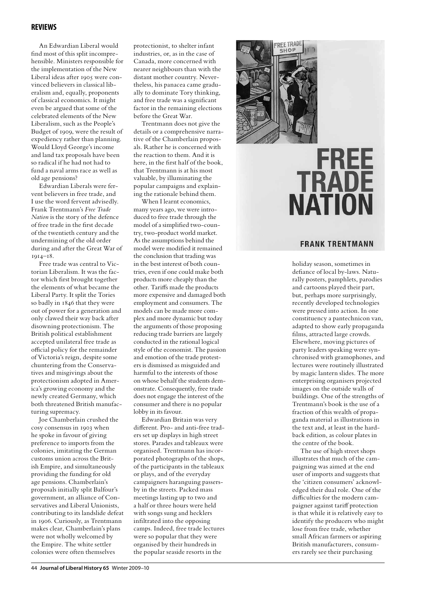### **reviews**

An Edwardian Liberal would find most of this split incomprehensible. Ministers responsible for the implementation of the New Liberal ideas after 1905 were convinced believers in classical liberalism and, equally, proponents of classical economics. It might even be argued that some of the celebrated elements of the New Liberalism, such as the People's Budget of 1909, were the result of expediency rather than planning. Would Lloyd George's income and land tax proposals have been so radical if he had not had to fund a naval arms race as well as old age pensions?

Edwardian Liberals were fervent believers in free trade, and I use the word fervent advisedly. Frank Trentmann's *Free Trade Nation* is the story of the defence of free trade in the first decade of the twentieth century and the undermining of the old order during and after the Great War of 1914–18.

Free trade was central to Victorian Liberalism. It was the factor which first brought together the elements of what became the Liberal Party. It split the Tories so badly in 1846 that they were out of power for a generation and only clawed their way back after disowning protectionism. The British political establishment accepted unilateral free trade as official policy for the remainder of Victoria's reign, despite some chuntering from the Conservatives and misgivings about the protectionism adopted in America's growing economy and the newly created Germany, which both threatened British manufacturing supremacy.

Joe Chamberlain crushed the cosy consensus in 1903 when he spoke in favour of giving preference to imports from the colonies, imitating the German customs union across the British Empire, and simultaneously providing the funding for old age pensions. Chamberlain's proposals initially split Balfour's government, an alliance of Conservatives and Liberal Unionists, contributing to its landslide defeat in 1906. Curiously, as Trentmann makes clear, Chamberlain's plans were not wholly welcomed by the Empire. The white settler colonies were often themselves

protectionist, to shelter infant industries, or, as in the case of Canada, more concerned with nearer neighbours than with the distant mother country. Nevertheless, his panacea came gradually to dominate Tory thinking, and free trade was a significant factor in the remaining elections before the Great War.

Trentmann does not give the details or a comprehensive narrative of the Chamberlain proposals. Rather he is concerned with the reaction to them. And it is here, in the first half of the book, that Trentmann is at his most valuable, by illuminating the popular campaigns and explaining the rationale behind them.

When I learnt economics, many years ago, we were introduced to free trade through the model of a simplified two-country, two-product world market. As the assumptions behind the model were modified it remained the conclusion that trading was in the best interest of both countries, even if one could make both products more cheaply than the other. Tariffs made the products more expensive and damaged both employment and consumers. The models can be made more complex and more dynamic but today the arguments of those proposing reducing trade barriers are largely conducted in the rational logical style of the economist. The passion and emotion of the trade protesters is dismissed as misguided and harmful to the interests of those on whose behalf the students demonstrate. Consequently, free trade does not engage the interest of the consumer and there is no popular lobby in its favour.

Edwardian Britain was very different. Pro- and anti-free traders set up displays in high street stores. Parades and tableaux were organised. Trentmann has incorporated photographs of the shops, of the participants in the tableaux or plays, and of the everyday campaigners haranguing passersby in the streets. Packed mass meetings lasting up to two and a half or three hours were held with songs sung and hecklers infiltrated into the opposing camps. Indeed, free trade lectures were so popular that they were organised by their hundreds in the popular seaside resorts in the



# **FREE TRADE NATION**

#### **FRANK TRENTMANN**

holiday season, sometimes in defiance of local by-laws. Naturally posters, pamphlets, parodies and cartoons played their part, but, perhaps more surprisingly, recently developed technologies were pressed into action. In one constituency a pantechnicon van, adapted to show early propaganda films, attracted large crowds. Elsewhere, moving pictures of party leaders speaking were synchronised with gramophones, and lectures were routinely illustrated by magic lantern slides. The more enterprising organisers projected images on the outside walls of buildings. One of the strengths of Trentmann's book is the use of a fraction of this wealth of propaganda material as illustrations in the text and, at least in the hardback edition, as colour plates in the centre of the book.

The use of high street shops illustrates that much of the campaigning was aimed at the end user of imports and suggests that the 'citizen consumers' acknowledged their dual role. One of the difficulties for the modern campaigner against tariff protection is that while it is relatively easy to identify the producers who might lose from free trade, whether small African farmers or aspiring British manufacturers, consumers rarely see their purchasing